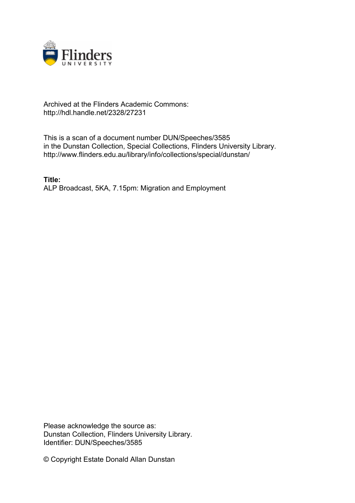

## Archived at the Flinders Academic Commons: http://hdl.handle.net/2328/27231

This is a scan of a document number DUN/Speeches/3585 in the Dunstan Collection, Special Collections, Flinders University Library. http://www.flinders.edu.au/library/info/collections/special/dunstan/

**Title:** ALP Broadcast, 5KA, 7.15pm: Migration and Employment

Please acknowledge the source as: Dunstan Collection, Flinders University Library. Identifier: DUN/Speeches/3585

© Copyright Estate Donald Allan Dunstan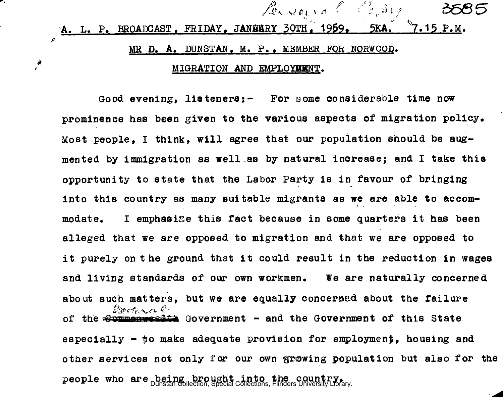## **A. L. P. BROADCAST. FRIDAY. JANHARY 30TH. 1959. 5KA. 7.15 P.M.** MR D. A. DUNSTAN. M. P.. MEMBER *FOR* NORWOOD.

*ferveria ( 3,34)* 

## MIGRATION AND EMPLOYBBNT.

- ₩  $\mathbf{r}$ 

> Good evening, listeners:- For some considerable time now prominence has been given to the various aspects of migration policy. Most people, I think, will agree that our population should be augmented by immigration as well-as by natural increase; and I take this opportunity to state that the Labor Party is in favour of bringing into this country as many suitable migrants as we are able to accommodate. I emphasize this fact because in some quarters it has been alleged that we are opposed to migration and that we are opposed to it purely on the ground that it could result in the reduction in wages and living standards of our own workmen. We are naturally concerned about such matters, but we are equally concerned about the failure Footo rall of the  $\Theta$ minimum  $\epsilon$  Government - and the Government of this State especially - *fo* make adequate provision for employment, housing and other services not only for our own growing population but also for the people who are being brought into the country.<br>Dunstan Collection, Special Collections, Flinders University Library.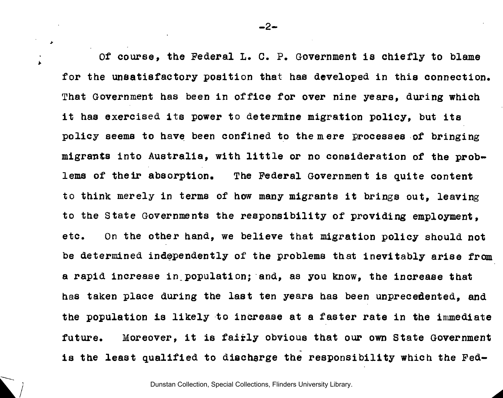Of course, the Federal L. C. P. Government is chiefly to blame for the unsatisfactory position that has developed in this connection. That Government has been in office for over nine years, during which it has exercised its power to determine migration policy, but its policy seems to have been confined to the mere processes of bringing migrants into Australia, with little or no consideration of the problems of their absorption. The Federal Government is quite content to think merely in terms of how many migrants it brings out, leaving to the State Governments the responsibility of providing employment, etc. On the other hand, we believe that migration policy should not be determined independently of the problems that inevitably arise from a rapid increase in.population; and, as you know, the increase that has taken place during the last ten years has been unprecedented, and the population is likely to increase at a faster rate in the immediate future. Moreover, it is fairly obvious that our own State Government is the least qualified to discharge the responsibility which the Fed-

Dunstan Collection, Special Collections, Flinders University Library.

 $-2-$ 

 $\mathbf{r}$ 

 $\Delta$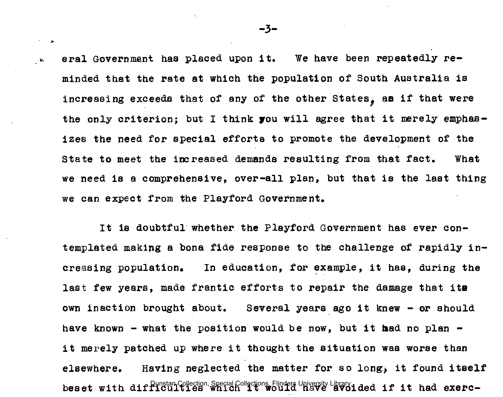eral Government has placed upon it. We have been repeatedly reminded that the rate at which the population of South Australia is increasing exceeds that of any of the other States, as if that were the only criterion; but I think you will agree that it merely emphasizes the need for special efforts to promote the development of the State to meet the increased demands resulting from that fact. What we need is a comprehensive, over-all plan, but that is the last thing we can expect from the Playford Government.

It is doubtful whether the Playford Government has ever contemplated making a bona fide response to the challenge of rapidly increasing population. In education, for example, it has, during the last few years, made frantic efforts to repair the damage that its own inaction brought about. Several years ago it knew - or should have known - what the position would be now, but it had no plan  $$ it merely patched up where it thought the situation was worse than elsewhere. Having neglected the matter for so long., it found itself beset with diffluotion, Special Collections, Flinders University Library.  $\alpha$  and  $\alpha$  exerc-

 $-3-$ 

 $\tau = -\mu$ 

 $\bullet$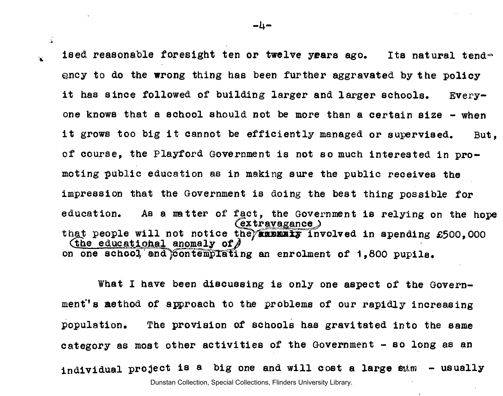ised reasonable foresight ten or twelve years ago. Its natural tendfency to do the wrong thing has been further aggravated by the policy it has since followed of building larger and larger schools. Everyone knows that a school should not be more than a certain size - when it grows too big it cannot be efficiently managed or supervised. But. of course. the Playford Government is not so much interested in promoting public education as in making sure the public receives the impression that the Government is doing the best thing possible for education. As a natter of fact, the Government is relying on the hope  $C$  extravagance  $\lambda$ that people will not notice the *and the involved* in spending  $£500,000$ (the educational anomaly of  $\rho$ on one school and  $\zeta$  ontemplating an enrolment of 1,800 pupils.

What I have been discussing is only one aspect of the Government's aethod of approach to the problems of our rapidly increasing population. The provision of schools has gravitated into the same category as most other activities of the Government - so long as an individual project is a big one and will cost a large esim - usually Dunstan Collection, Special Collections, Flinders University Library.

 $-\mu$  –

 $\mathcal{L}$ 

 $\mathbf{x}$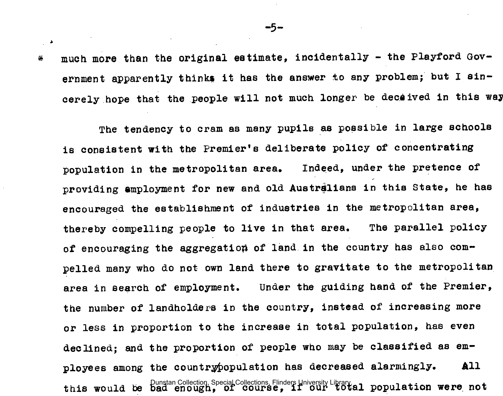much more than the original estimate, incidentally - the Playford Gov-萑 ernment apparently thinks it has the answer to any problem; but I sincerely hope that the people will not much longer be deceived in this way

The tendency to cram as many pupils as possible in large schools is consistent with the Premier's deliberate policy of concentrating population in the metropolitan area. Indeed, under the pretence of providing employment for new and old Australians in this State, he has encouraged the establishment of industries in the metropolitan area, thereby compelling people to live in that area. The parallel policy of encouraging the aggregation of land in the country has also compelled many who do not own land there to gravitate to the metropolitan area in search of employment. Under the guiding hand of the Premier, the number of landholders in the country, instead of increasing more or less in proportion to the increase in total population, has even declined; and the proportion of people who may be classified as employees among the countrypopulation has decreased alarmingly. All this would be Dunstan Collection Special Collections Flinders University Library.<br>this would be bad enough, of course, if our total population were not

 $\mathbb{R}^2$  .  $\mathbb{R}^2$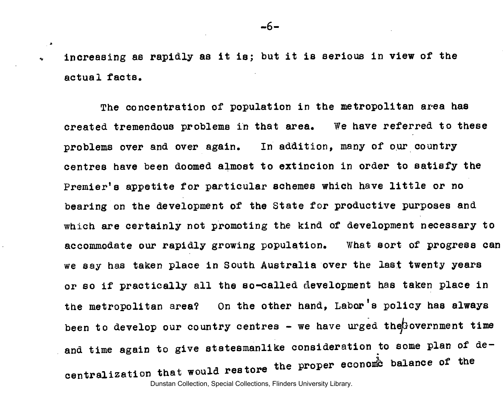increasing as rapidly as it is; but it is serious in view of the actual facts.

 $\mathbf{A}$ 

The concentration of population in the metropolitan area has created tremendous problems in that area. We have referred to these problems over and over again. In addition, many of our country centres have been doomed almost to extincion in order to satisfy the Premier's appetite for particular schemes which have little or no bearing on the development of the State for productive purposes and which are certainly not promoting the kind of development necessary to accommodate our rapidly growing population. What sort of progress can we say has taken place in South Australia over the last twenty years or so if practically all the so-called development has taken place in the metropolitan area? On the other hand, Labor's policy has always been to develop our country centres - we have urged the Government time and time again to give statesmanlike consideration to some plan of de-14 nestone the proper econome balance of the centralization that would restore

Dunstan Collection, Special Collections, Flinders University Library.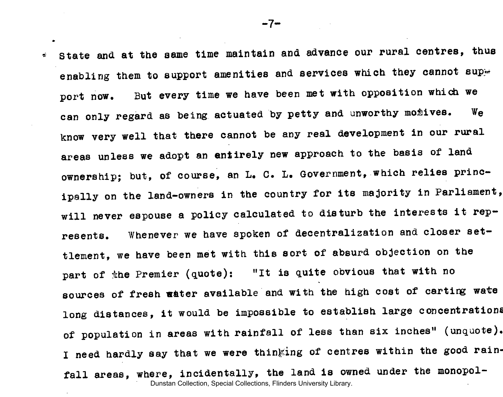$\epsilon$  State and at the same time maintain and advance our rural centres, thus enabling them to support amenities and services which they cannot supw port now. But every time we have been met with opposition which we can only regard as being actuated by petty and unworthy motives. We know very well that there cannot be any real development in our rural areas unless we adopt an entirely new approach to the basis of land ownership; but, of course, an L. C. L. Government, which relies principally on the land-owners in the country for its majority in Parliament, will never espouse a policy calculated to disturb the interests it represents. Whenever we have spoken of decentralization and closer settlement, we have been met with this sort of absurd objection on the part of the Premier (quote): "It is quite obvious that with no sources of fresh water available and with the high cost of carting wate long distances, it would be impossible to establish large concentrations of population in areas with rainfall of less than six inches" (unquote). I need hardly say that we were thinking of centres within the good rainfall areas, where, incidentally, the land is owned under the monopol-Dunstan Collection, Special Collections, Flinders University Library.

 $-7-$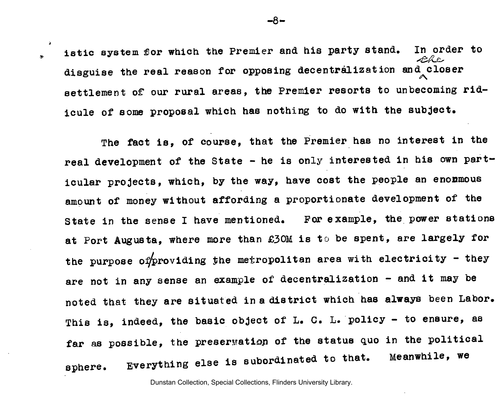istic system for which the Premier and his party stand. In order to disguise the real reason for opposing decentralization and closer settlement of our rural areas, the Premier resorts to unbecoming ridicule of some proposal which has nothing to do with the subject.

 $\rightarrow$  $\sim$ 

> The fact is, of course, that the Premier has no interest in the real development of the State - he is only interested in his own particular projects, which, by the way, have cost the people an enonmous amount of money without affording a proportionate development of the State in the sense I have mentioned. For example, the power stations at Port Augusta, where more than £30M is to be spent, are largely for the purpose of providing the metropolitan area with electricity - they are not in any sense an example of decentralization - and it may be noted that they are situated in a district which has always been Labor. This is, indeed, the basic object of L. G. L. policy - to ensure, as far as possible, the preservation of the status quo in the political sphere. Everything else is subordinated to that. Meanwhile, we

> > Dunstan Collection, Special Collections, Flinders University Library.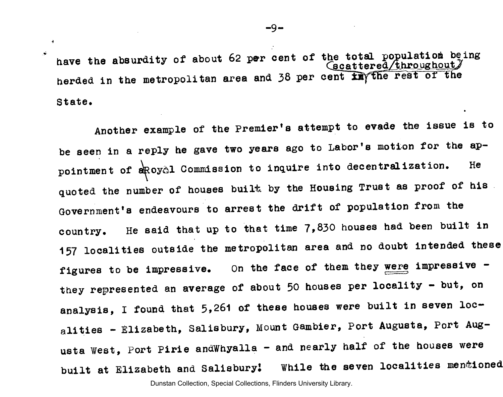have the absurdity of about 62 per cent of the total population being<br>  $\frac{1}{2}$ herded in the metropolitan area and 38 per cent in the rest of the State.

 $\rightarrow$ Ä.

> Another example of the Premier's attempt to evade the issue is to be seen in a reply he gave two years ago to Labor's motion for the appointment of a RoyAl Commission to inquire into decentralization. He quoted the number of houses built by the Housing Trust as proof of his. Government's endeavours to arrest the drift of population from the country. He said that up to that time 7,830 houses had been built in 157 localities outside the metropolitan area and no doubt intended these figures to be impressive. On the face of them they were impressive they represented an average of about 50 houses per locality - but, on analysis, I found that 5,261 of these houses were built in seven localities - Elizabeth, Salisbury, Mount Gambier, Port Augusta, Port Augusta West, Port Pirie and Whyalla - and nearly half of the houses were built at Elizabeth and Salisbury! While the seven localities mentioned